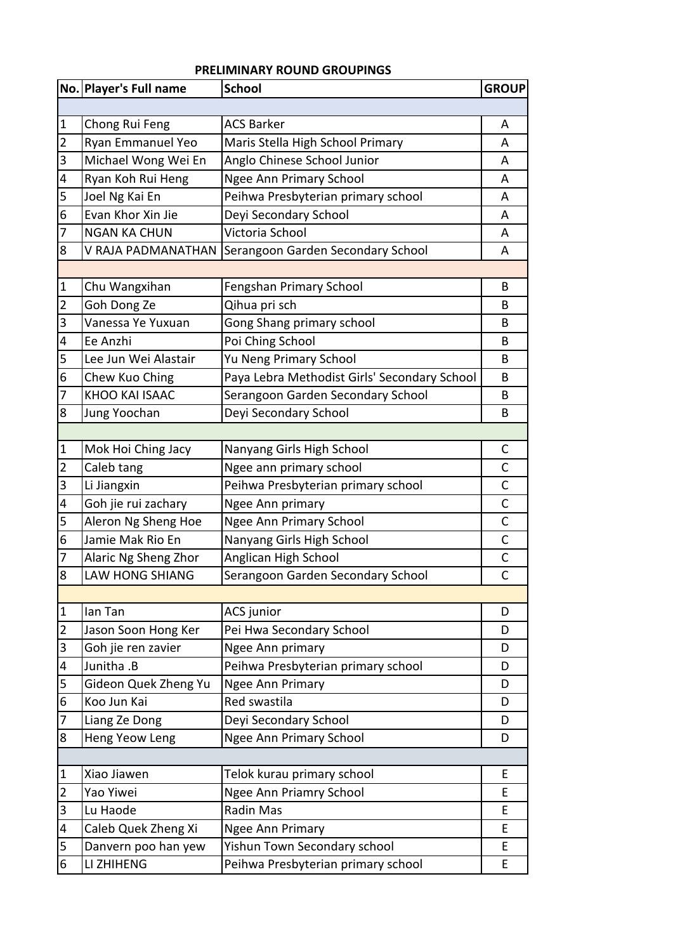## **PRELIMINARY ROUND GROUPINGS**

|                | No. Player's Full name | <b>School</b>                                | <b>GROUP</b> |  |  |
|----------------|------------------------|----------------------------------------------|--------------|--|--|
|                |                        |                                              |              |  |  |
| $\vert$ 1      | Chong Rui Feng         | <b>ACS Barker</b>                            | A            |  |  |
| $\overline{2}$ | Ryan Emmanuel Yeo      | Maris Stella High School Primary             | A            |  |  |
| 3              | Michael Wong Wei En    | Anglo Chinese School Junior                  | A            |  |  |
| 4              | Ryan Koh Rui Heng      | <b>Ngee Ann Primary School</b>               | A            |  |  |
| 5              | Joel Ng Kai En         | Peihwa Presbyterian primary school           | A            |  |  |
| 6              | Evan Khor Xin Jie      | Deyi Secondary School                        | A            |  |  |
| $\overline{7}$ | <b>NGAN KA CHUN</b>    | Victoria School                              | A            |  |  |
| 8              | V RAJA PADMANATHAN     | Serangoon Garden Secondary School            | A            |  |  |
|                |                        |                                              |              |  |  |
| $\vert$ 1      | Chu Wangxihan          | Fengshan Primary School                      | B            |  |  |
| $\overline{2}$ | Goh Dong Ze            | Qihua pri sch                                | B            |  |  |
| 3              | Vanessa Ye Yuxuan      | Gong Shang primary school                    | В            |  |  |
| 4              | Ee Anzhi               | Poi Ching School                             | B            |  |  |
| 5              | Lee Jun Wei Alastair   | Yu Neng Primary School                       | В            |  |  |
| 6              | Chew Kuo Ching         | Paya Lebra Methodist Girls' Secondary School | В            |  |  |
| $\overline{7}$ | KHOO KAI ISAAC         | Serangoon Garden Secondary School            | B            |  |  |
| $\bf 8$        | Jung Yoochan           | Deyi Secondary School                        | В            |  |  |
|                |                        |                                              |              |  |  |
| $\mathbf 1$    | Mok Hoi Ching Jacy     | Nanyang Girls High School                    | C            |  |  |
| $\overline{2}$ | Caleb tang             | Ngee ann primary school                      | C            |  |  |
| 3              | Li Jiangxin            | Peihwa Presbyterian primary school           | C            |  |  |
| 4              | Goh jie rui zachary    | Ngee Ann primary                             | C            |  |  |
| 5              | Aleron Ng Sheng Hoe    | Ngee Ann Primary School                      | $\mathsf{C}$ |  |  |
| $\overline{6}$ | Jamie Mak Rio En       | Nanyang Girls High School                    | C            |  |  |
| $\overline{7}$ | Alaric Ng Sheng Zhor   | Anglican High School                         | C            |  |  |
| 8              | LAW HONG SHIANG        | Serangoon Garden Secondary School            | C            |  |  |
|                |                        |                                              |              |  |  |
| $\mathbf 1$    | lan Tan                | <b>ACS</b> junior                            | D            |  |  |
| $\overline{2}$ | Jason Soon Hong Ker    | Pei Hwa Secondary School                     | D            |  |  |
| 3              | Goh jie ren zavier     | Ngee Ann primary                             | D            |  |  |
| 4              | Junitha .B             | Peihwa Presbyterian primary school           | D            |  |  |
| 5              | Gideon Quek Zheng Yu   | Ngee Ann Primary                             | D            |  |  |
| 6              | Koo Jun Kai            | Red swastila                                 | D            |  |  |
| 7              | Liang Ze Dong          | Deyi Secondary School                        | D            |  |  |
| 8              | Heng Yeow Leng         | <b>Ngee Ann Primary School</b>               | D            |  |  |
|                |                        |                                              |              |  |  |
| $\mathbf 1$    | Xiao Jiawen            | Telok kurau primary school                   | E            |  |  |
| $\overline{c}$ | Yao Yiwei              | <b>Ngee Ann Priamry School</b>               | E            |  |  |
| 3              | Lu Haode               | Radin Mas                                    | E            |  |  |
| 4              | Caleb Quek Zheng Xi    | <b>Ngee Ann Primary</b>                      | E            |  |  |
| 5              | Danvern poo han yew    | Yishun Town Secondary school                 | E            |  |  |
| 6              | LI ZHIHENG             | Peihwa Presbyterian primary school           | E            |  |  |